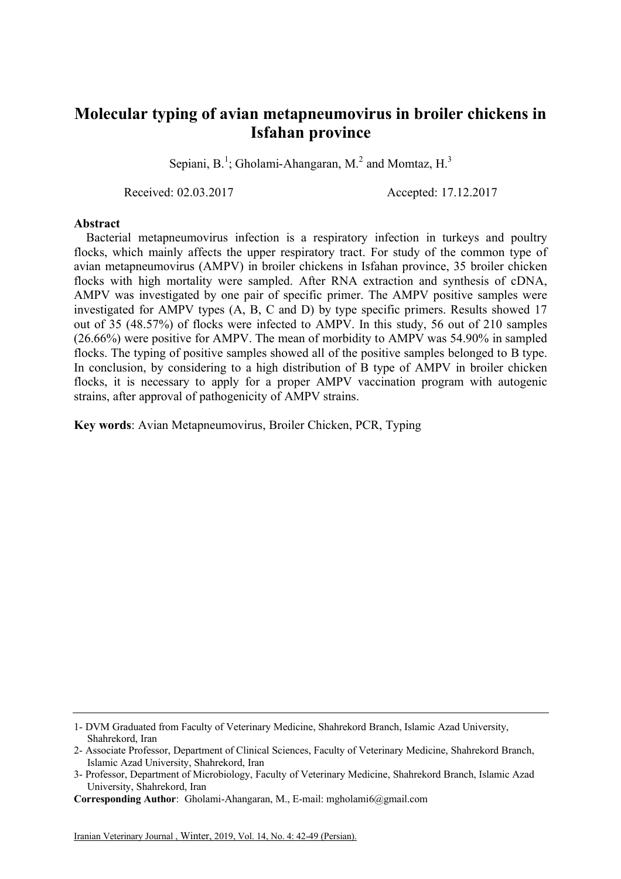## **Molecular typing of avian metapneumovirus in broiler chickens in Isfahan province**

Sepiani, B.<sup>1</sup>; Gholami-Ahangaran, M.<sup>2</sup> and Momtaz, H.<sup>3</sup>

Received: 02.03.2017 Accepted: 17.12.2017

## **Abstract**

Bacterial metapneumovirus infection is a respiratory infection in turkeys and poultry flocks, which mainly affects the upper respiratory tract. For study of the common type of avian metapneumovirus (AMPV) in broiler chickens in Isfahan province, 35 broiler chicken flocks with high mortality were sampled. After RNA extraction and synthesis of cDNA, AMPV was investigated by one pair of specific primer. The AMPV positive samples were investigated for AMPV types (A, B, C and D) by type specific primers. Results showed 17 out of 35 (48.57%) of flocks were infected to AMPV. In this study, 56 out of 210 samples (26.66%) were positive for AMPV. The mean of morbidity to AMPV was 54.90% in sampled flocks. The typing of positive samples showed all of the positive samples belonged to B type. In conclusion, by considering to a high distribution of B type of AMPV in broiler chicken flocks, it is necessary to apply for a proper AMPV vaccination program with autogenic strains, after approval of pathogenicity of AMPV strains.

**Key words**: Avian Metapneumovirus, Broiler Chicken, PCR, Typing

<sup>1-</sup> DVM Graduated from Faculty of Veterinary Medicine, Shahrekord Branch, Islamic Azad University, Shahrekord, Iran

<sup>2-</sup> Associate Professor, Department of Clinical Sciences, Faculty of Veterinary Medicine, Shahrekord Branch, Islamic Azad University, Shahrekord, Iran

<sup>3-</sup> Professor, Department of Microbiology, Faculty of Veterinary Medicine, Shahrekord Branch, Islamic Azad University, Shahrekord, Iran

**Corresponding Author**: Gholami-Ahangaran, M., E-mail: mgholami6@gmail.com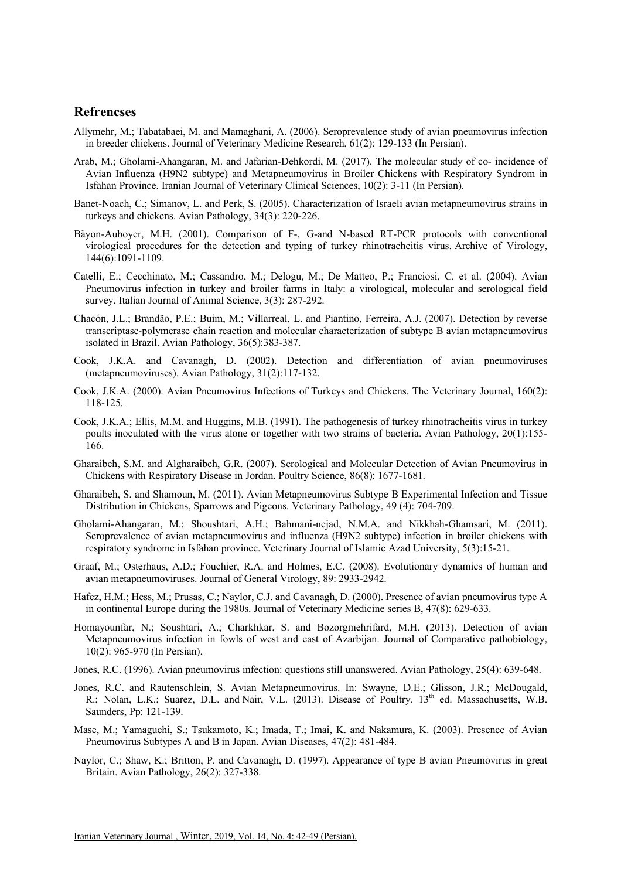## **Refrencses**

- Allymehr, M.; Tabatabaei, M. and Mamaghani, A. (2006). Seroprevalence study of avian pneumovirus infection in breeder chickens. Journal of Veterinary Medicine Research, 61(2): 129-133 (In Persian).
- Arab, M.; Gholami-Ahangaran, M. and Jafarian-Dehkordi, M. (2017). The molecular study of co- incidence of Avian Influenza (H9N2 subtype) and Metapneumovirus in Broiler Chickens with Respiratory Syndrom in Isfahan Province. Iranian Journal of Veterinary Clinical Sciences, 10(2): 3-11 (In Persian).
- Banet-Noach, C.; Simanov, L. and Perk, S. (2005). Characterization of Israeli avian metapneumovirus strains in turkeys and chickens. Avian Pathology, 34(3): 220-226.
- Bäyon-Auboyer, M.H. (2001). Comparison of F-, G-and N-based RT-PCR protocols with conventional virological procedures for the detection and typing of turkey rhinotracheitis virus. Archive of Virology, 144(6):1091-1109.
- Catelli, E.; Cecchinato, M.; Cassandro, M.; Delogu, M.; De Matteo, P.; Franciosi, C. et al. (2004). Avian Pneumovirus infection in turkey and broiler farms in Italy: a virological, molecular and serological field survey. Italian Journal of Animal Science, 3(3): 287-292.
- Chacón, J.L.; Brandão, P.E.; Buim, M.; Villarreal, L. and Piantino, Ferreira, A.J. (2007). Detection by reverse transcriptase-polymerase chain reaction and molecular characterization of subtype B avian metapneumovirus isolated in Brazil. Avian Pathology, 36(5):383-387.
- Cook, J.K.A. and Cavanagh, D. (2002). Detection and differentiation of avian pneumoviruses (metapneumoviruses). Avian Pathology, 31(2):117-132.
- Cook, J.K.A. (2000). Avian Pneumovirus Infections of Turkeys and Chickens. The Veterinary Journal, 160(2): 118-125.
- Cook, J.K.A.; Ellis, M.M. and Huggins, M.B. (1991). The pathogenesis of turkey rhinotracheitis virus in turkey poults inoculated with the virus alone or together with two strains of bacteria. Avian Pathology, 20(1):155- 166.
- Gharaibeh, S.M. and Algharaibeh, G.R. (2007). Serological and Molecular Detection of Avian Pneumovirus in Chickens with Respiratory Disease in Jordan. Poultry Science, 86(8): 1677-1681.
- Gharaibeh, S. and Shamoun, M. (2011). Avian Metapneumovirus Subtype B Experimental Infection and Tissue Distribution in Chickens, Sparrows and Pigeons. Veterinary Pathology, 49 (4): 704-709.
- Gholami-Ahangaran, M.; Shoushtari, A.H.; Bahmani-nejad, N.M.A. and Nikkhah-Ghamsari, M. (2011). Seroprevalence of avian metapneumovirus and influenza (H9N2 subtype) infection in broiler chickens with respiratory syndrome in Isfahan province. Veterinary Journal of Islamic Azad University, 5(3):15-21.
- Graaf, M.; Osterhaus, A.D.; Fouchier, R.A. and Holmes, E.C. (2008). Evolutionary dynamics of human and avian metapneumoviruses. Journal of General Virology, 89: 2933-2942.
- Hafez, H.M.; Hess, M.; Prusas, C.; Naylor, C.J. and Cavanagh, D. (2000). Presence of avian pneumovirus type A in continental Europe during the 1980s. Journal of Veterinary Medicine series B, 47(8): 629-633.
- Homayounfar, N.; Soushtari, A.; Charkhkar, S. and Bozorgmehrifard, M.H. (2013). Detection of avian Metapneumovirus infection in fowls of west and east of Azarbijan. Journal of Comparative pathobiology, 10(2): 965-970 (In Persian).
- Jones, R.C. (1996). Avian pneumovirus infection: questions still unanswered. Avian Pathology, 25(4): 639-648.
- Jones, R.C. and Rautenschlein, S. Avian Metapneumovirus. In: Swayne, D.E.; Glisson, J.R.; McDougald, R.; Nolan, L.K.; Suarez, D.L. and Nair, V.L. (2013). Disease of Poultry. 13th ed. Massachusetts, W.B. Saunders, Pp: 121-139.
- Mase, M.; Yamaguchi, S.; Tsukamoto, K.; Imada, T.; Imai, K. and Nakamura, K. (2003). Presence of Avian Pneumovirus Subtypes A and B in Japan. Avian Diseases, 47(2): 481-484.
- Naylor, C.; Shaw, K.; Britton, P. and Cavanagh, D. (1997). Appearance of type B avian Pneumovirus in great Britain. Avian Pathology, 26(2): 327-338.